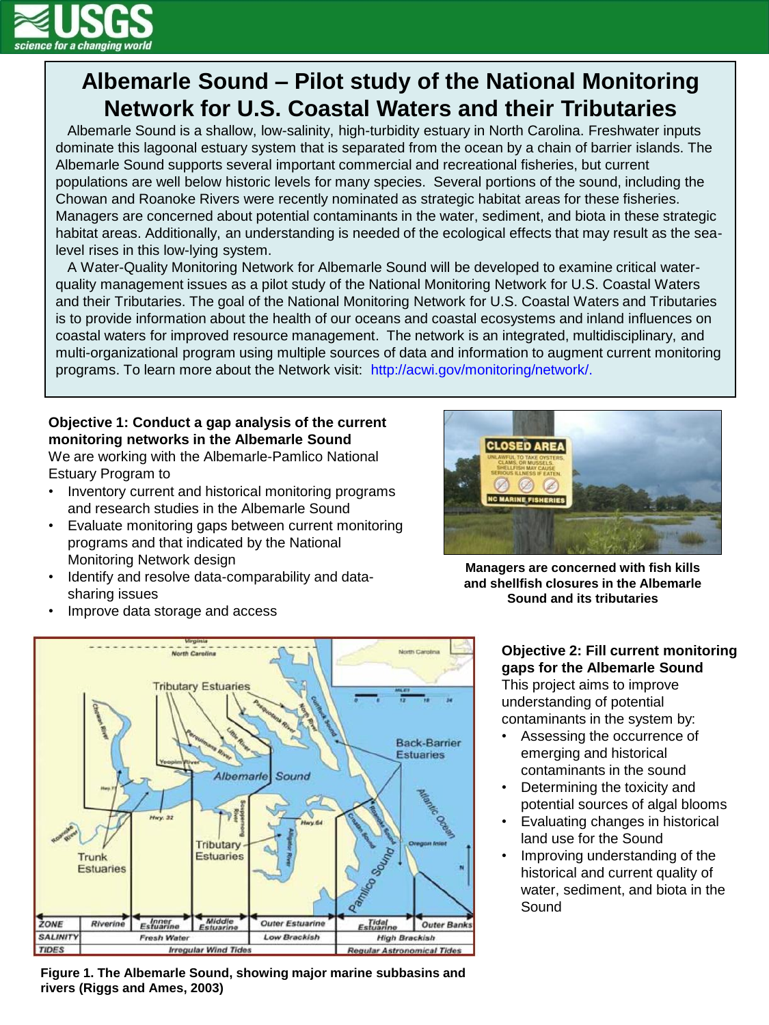

# **Albemarle Sound – Pilot study of the National Monitoring Network for U.S. Coastal Waters and their Tributaries**

 Albemarle Sound is a shallow, low-salinity, high-turbidity estuary in North Carolina. Freshwater inputs dominate this lagoonal estuary system that is separated from the ocean by a chain of barrier islands. The Albemarle Sound supports several important commercial and recreational fisheries, but current populations are well below historic levels for many species. Several portions of the sound, including the Chowan and Roanoke Rivers were recently nominated as strategic habitat areas for these fisheries. Managers are concerned about potential contaminants in the water, sediment, and biota in these strategic habitat areas. Additionally, an understanding is needed of the ecological effects that may result as the sealevel rises in this low-lying system.

 A Water-Quality Monitoring Network for Albemarle Sound will be developed to examine critical waterquality management issues as a pilot study of the National Monitoring Network for U.S. Coastal Waters and their Tributaries. The goal of the National Monitoring Network for U.S. Coastal Waters and Tributaries is to provide information about the health of our oceans and coastal ecosystems and inland influences on coastal waters for improved resource management. The network is an integrated, multidisciplinary, and multi-organizational program using multiple sources of data and information to augment current monitoring programs. To learn more about the Network visit: http://acwi.gov/monitoring/network/.

# **Objective 1: Conduct a gap analysis of the current monitoring networks in the Albemarle Sound**

We are working with the Albemarle-Pamlico National Estuary Program to

- Inventory current and historical monitoring programs and research studies in the Albemarle Sound
- Evaluate monitoring gaps between current monitoring programs and that indicated by the National Monitoring Network design
- Identify and resolve data-comparability and datasharing issues



**Managers are concerned with fish kills and shellfish closures in the Albemarle Sound and its tributaries**

• Improve data storage and access



**Figure 1. The Albemarle Sound, showing major marine subbasins and rivers (Riggs and Ames, 2003)**

# **Objective 2: Fill current monitoring gaps for the Albemarle Sound** This project aims to improve understanding of potential contaminants in the system by:

- Assessing the occurrence of emerging and historical contaminants in the sound
- Determining the toxicity and potential sources of algal blooms
- Evaluating changes in historical land use for the Sound
- Improving understanding of the historical and current quality of water, sediment, and biota in the Sound